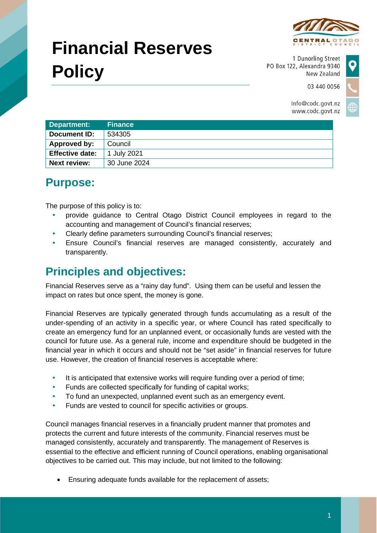

# **Financial Reserves Policy**

1 Dunorling Street PO Box 122, Alexandra 9340 New Zealand

03 440 0056

Info@codc.govt.nz www.codc.govt.nz

| Department:            | <b>Finance</b> |
|------------------------|----------------|
| Document ID:           | 534305         |
| Approved by:           | Council        |
| <b>Effective date:</b> | 1 July 2021    |
| <b>Next review:</b>    | 30 June 2024   |

### **Purpose:**

The purpose of this policy is to:

- provide guidance to Central Otago District Council employees in regard to the accounting and management of Council's financial reserves;
- Clearly define parameters surrounding Council's financial reserves;
- Ensure Council's financial reserves are managed consistently, accurately and transparently.

## **Principles and objectives:**

Financial Reserves serve as a "rainy day fund". Using them can be useful and lessen the impact on rates but once spent, the money is gone.

Financial Reserves are typically generated through funds accumulating as a result of the under-spending of an activity in a specific year, or where Council has rated specifically to create an emergency fund for an unplanned event, or occasionally funds are vested with the council for future use. As a general rule, income and expenditure should be budgeted in the financial year in which it occurs and should not be "set aside" in financial reserves for future use. However, the creation of financial reserves is acceptable where:

- It is anticipated that extensive works will require funding over a period of time;
- Funds are collected specifically for funding of capital works;
- To fund an unexpected, unplanned event such as an emergency event.
- Funds are vested to council for specific activities or groups.

Council manages financial reserves in a financially prudent manner that promotes and protects the current and future interests of the community. Financial reserves must be managed consistently, accurately and transparently. The management of Reserves is essential to the effective and efficient running of Council operations, enabling organisational objectives to be carried out. This may include, but not limited to the following:

• Ensuring adequate funds available for the replacement of assets;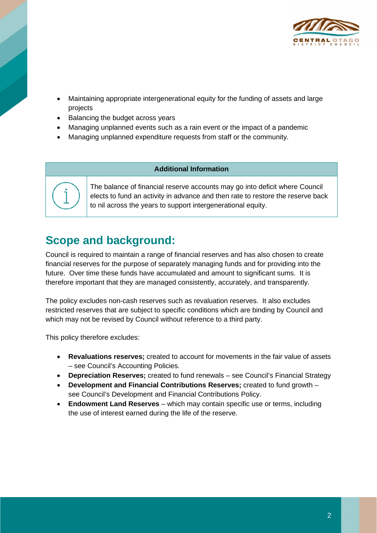

- Maintaining appropriate intergenerational equity for the funding of assets and large projects
- Balancing the budget across years
- Managing unplanned events such as a rain event or the impact of a pandemic
- Managing unplanned expenditure requests from staff or the community.

#### **Additional Information**



The balance of financial reserve accounts may go into deficit where Council elects to fund an activity in advance and then rate to restore the reserve back to nil across the years to support intergenerational equity.

#### **Scope and background:**

Council is required to maintain a range of financial reserves and has also chosen to create financial reserves for the purpose of separately managing funds and for providing into the future. Over time these funds have accumulated and amount to significant sums. It is therefore important that they are managed consistently, accurately, and transparently.

The policy excludes non-cash reserves such as revaluation reserves. It also excludes restricted reserves that are subject to specific conditions which are binding by Council and which may not be revised by Council without reference to a third party.

This policy therefore excludes:

- **Revaluations reserves;** created to account for movements in the fair value of assets – see Council's Accounting Policies.
- **Depreciation Reserves;** created to fund renewals see Council's Financial Strategy
- **Development and Financial Contributions Reserves;** created to fund growth see Council's Development and Financial Contributions Policy.
- **Endowment Land Reserves** which may contain specific use or terms, including the use of interest earned during the life of the reserve.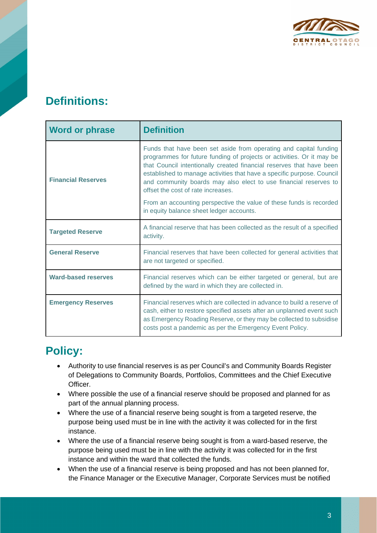

#### **Definitions:**

| Word or phrase             | <b>Definition</b>                                                                                                                                                                                                                                                                                                                                                                                                                                                                                                         |
|----------------------------|---------------------------------------------------------------------------------------------------------------------------------------------------------------------------------------------------------------------------------------------------------------------------------------------------------------------------------------------------------------------------------------------------------------------------------------------------------------------------------------------------------------------------|
| <b>Financial Reserves</b>  | Funds that have been set aside from operating and capital funding<br>programmes for future funding of projects or activities. Or it may be<br>that Council intentionally created financial reserves that have been<br>established to manage activities that have a specific purpose. Council<br>and community boards may also elect to use financial reserves to<br>offset the cost of rate increases.<br>From an accounting perspective the value of these funds is recorded<br>in equity balance sheet ledger accounts. |
| <b>Targeted Reserve</b>    | A financial reserve that has been collected as the result of a specified<br>activity.                                                                                                                                                                                                                                                                                                                                                                                                                                     |
| <b>General Reserve</b>     | Financial reserves that have been collected for general activities that<br>are not targeted or specified.                                                                                                                                                                                                                                                                                                                                                                                                                 |
| <b>Ward-based reserves</b> | Financial reserves which can be either targeted or general, but are<br>defined by the ward in which they are collected in.                                                                                                                                                                                                                                                                                                                                                                                                |
| <b>Emergency Reserves</b>  | Financial reserves which are collected in advance to build a reserve of<br>cash, either to restore specified assets after an unplanned event such<br>as Emergency Roading Reserve, or they may be collected to subsidise<br>costs post a pandemic as per the Emergency Event Policy.                                                                                                                                                                                                                                      |

#### **Policy:**

- Authority to use financial reserves is as per Council's and Community Boards Register of Delegations to Community Boards, Portfolios, Committees and the Chief Executive Officer.
- Where possible the use of a financial reserve should be proposed and planned for as part of the annual planning process.
- Where the use of a financial reserve being sought is from a targeted reserve, the purpose being used must be in line with the activity it was collected for in the first instance.
- Where the use of a financial reserve being sought is from a ward-based reserve, the purpose being used must be in line with the activity it was collected for in the first instance and within the ward that collected the funds.
- When the use of a financial reserve is being proposed and has not been planned for, the Finance Manager or the Executive Manager, Corporate Services must be notified